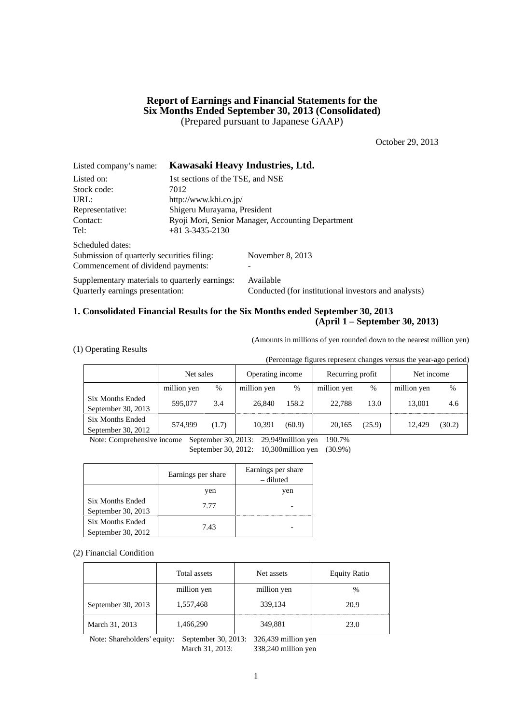## **Report of Earnings and Financial Statements for the Six Months Ended September 30, 2013 (Consolidated)**  (Prepared pursuant to Japanese GAAP)

October 29, 2013

| Listed company's name:                         |                                                   | Kawasaki Heavy Industries, Ltd.                      |  |  |  |  |
|------------------------------------------------|---------------------------------------------------|------------------------------------------------------|--|--|--|--|
| Listed on:                                     | 1st sections of the TSE, and NSE                  |                                                      |  |  |  |  |
| Stock code:                                    | 7012                                              |                                                      |  |  |  |  |
| URL:                                           | http://www.khi.co.jp/                             |                                                      |  |  |  |  |
| Representative:                                | Shigeru Murayama, President                       |                                                      |  |  |  |  |
| Contact:                                       | Ryoji Mori, Senior Manager, Accounting Department |                                                      |  |  |  |  |
| Tel:                                           | $+81$ 3-3435-2130                                 |                                                      |  |  |  |  |
| Scheduled dates:                               |                                                   |                                                      |  |  |  |  |
| Submission of quarterly securities filing:     |                                                   | November 8, 2013                                     |  |  |  |  |
| Commencement of dividend payments:             |                                                   |                                                      |  |  |  |  |
| Supplementary materials to quarterly earnings: |                                                   | Available                                            |  |  |  |  |
| Ouarterly earnings presentation:               |                                                   | Conducted (for institutional investors and analysts) |  |  |  |  |

## **1. Consolidated Financial Results for the Six Months ended September 30, 2013 (April 1 – September 30, 2013)**

(Amounts in millions of yen rounded down to the nearest million yen)

|  |  |  | (1) Operating Results |
|--|--|--|-----------------------|
|--|--|--|-----------------------|

(Percentage figures represent changes versus the year-ago period)

|                                               | Net sales   |       | Operating income |        | Recurring profit |        | Net income  |        |
|-----------------------------------------------|-------------|-------|------------------|--------|------------------|--------|-------------|--------|
|                                               | million yen | %     | million yen      | $\%$   | million yen      | %      | million yen | $\%$   |
| Six Months Ended<br>September 30, 2013        | 595,077     | 3.4   | 26.840           | 158.2  | 22,788           | 13.0   | 13,001      | 4.6    |
| <b>Six Months Ended</b><br>September 30, 2012 | 574.999     | (1.7) | 10.391           | (60.9) | 20.165           | (25.9) | 12.429      | (30.2) |

Note: Comprehensive income September 30, 2013: 29,949million yen 190.7% September 30, 2012: 10,300million yen (30.9%)

|                                               | Earnings per share | Earnings per share<br>- diluted |
|-----------------------------------------------|--------------------|---------------------------------|
|                                               | yen                | yen                             |
| <b>Six Months Ended</b><br>September 30, 2013 | 7.77               |                                 |
| <b>Six Months Ended</b><br>September 30, 2012 | 7.43               |                                 |

(2) Financial Condition

|                    | Total assets | Net assets  | <b>Equity Ratio</b> |
|--------------------|--------------|-------------|---------------------|
|                    | million yen  | million yen | $\frac{0}{0}$       |
| September 30, 2013 | 1,557,468    | 339,134     | 20.9                |
| March 31, 2013     | 1,466,290    | 349,881     | 23.0                |

Note: Shareholders' equity: September 30, 2013: 326,439 million yen March 31, 2013: 338,240 million yen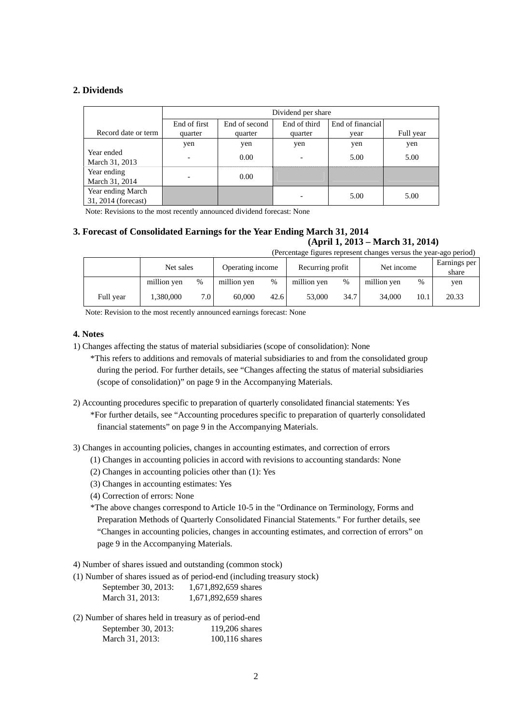## **2. Dividends**

|                                          | Dividend per share       |               |              |                  |           |  |
|------------------------------------------|--------------------------|---------------|--------------|------------------|-----------|--|
|                                          | End of first             | End of second | End of third | End of financial |           |  |
| Record date or term                      | quarter                  | quarter       | quarter      | vear             | Full year |  |
|                                          | yen                      | yen           | yen          | yen              | yen       |  |
| Year ended<br>March 31, 2013             | $\overline{\phantom{0}}$ | 0.00          | ۰            | 5.00             | 5.00      |  |
| Year ending<br>March 31, 2014            |                          | 0.00          |              |                  |           |  |
| Year ending March<br>31, 2014 (forecast) |                          |               |              | 5.00             | 5.00      |  |

Note: Revisions to the most recently announced dividend forecast: None

#### **3. Forecast of Consolidated Earnings for the Year Ending March 31, 2014 (April 1, 2013 – March 31, 2014)**

(Percentage figures represent changes versus the year-ago period)

|           | Net sales   |                  |             | Net income<br>Operating income<br>Recurring profit |             |      |             |      | Earnings per<br>share |
|-----------|-------------|------------------|-------------|----------------------------------------------------|-------------|------|-------------|------|-----------------------|
|           | million ven | %                | million yen | %                                                  | million yen | $\%$ | million yen | %    | yen                   |
| Full year | 1.380.000   | 7.0 <sup>1</sup> | 60.000      | 42.6                                               | 53,000      | 34.7 | 34,000      | 10.1 | 20.33                 |

Note: Revision to the most recently announced earnings forecast: None

## **4. Notes**

- 1) Changes affecting the status of material subsidiaries (scope of consolidation): None
	- \*This refers to additions and removals of material subsidiaries to and from the consolidated group during the period. For further details, see "Changes affecting the status of material subsidiaries (scope of consolidation)" on page 9 in the Accompanying Materials.
- 2) Accounting procedures specific to preparation of quarterly consolidated financial statements: Yes \*For further details, see "Accounting procedures specific to preparation of quarterly consolidated financial statements" on page 9 in the Accompanying Materials.
- 3) Changes in accounting policies, changes in accounting estimates, and correction of errors
	- (1) Changes in accounting policies in accord with revisions to accounting standards: None
	- (2) Changes in accounting policies other than (1): Yes
	- (3) Changes in accounting estimates: Yes
	- (4) Correction of errors: None

\*The above changes correspond to Article 10-5 in the "Ordinance on Terminology, Forms and Preparation Methods of Quarterly Consolidated Financial Statements." For further details, see "Changes in accounting policies, changes in accounting estimates, and correction of errors" on page 9 in the Accompanying Materials.

4) Number of shares issued and outstanding (common stock)

(1) Number of shares issued as of period-end (including treasury stock)

| September 30, 2013: | 1,671,892,659 shares |
|---------------------|----------------------|
| March 31, 2013:     | 1,671,892,659 shares |

(2) Number of shares held in treasury as of period-end September 30, 2013: 119,206 shares March 31, 2013: 100,116 shares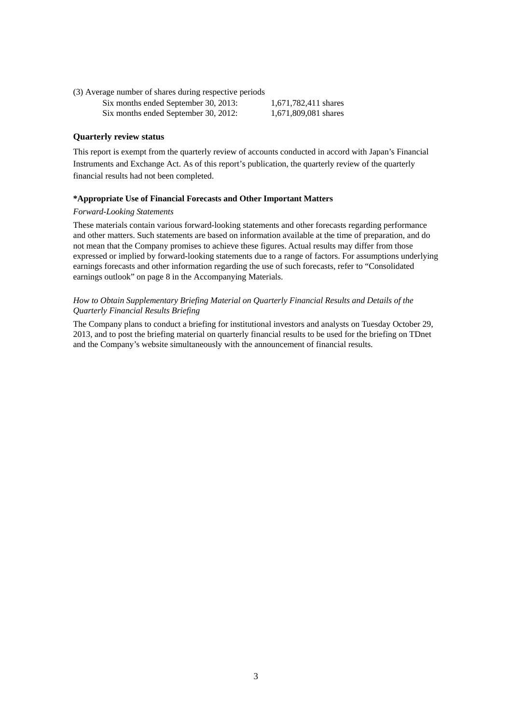(3) Average number of shares during respective periods Six months ended September 30, 2013: 1,671,782,411 shares Six months ended September 30, 2012: 1,671,809,081 shares

#### **Quarterly review status**

This report is exempt from the quarterly review of accounts conducted in accord with Japan's Financial Instruments and Exchange Act. As of this report's publication, the quarterly review of the quarterly financial results had not been completed.

#### **\*Appropriate Use of Financial Forecasts and Other Important Matters**

#### *Forward-Looking Statements*

These materials contain various forward-looking statements and other forecasts regarding performance and other matters. Such statements are based on information available at the time of preparation, and do not mean that the Company promises to achieve these figures. Actual results may differ from those expressed or implied by forward-looking statements due to a range of factors. For assumptions underlying earnings forecasts and other information regarding the use of such forecasts, refer to "Consolidated earnings outlook" on page 8 in the Accompanying Materials.

### *How to Obtain Supplementary Briefing Material on Quarterly Financial Results and Details of the Quarterly Financial Results Briefing*

The Company plans to conduct a briefing for institutional investors and analysts on Tuesday October 29, 2013, and to post the briefing material on quarterly financial results to be used for the briefing on TDnet and the Company's website simultaneously with the announcement of financial results.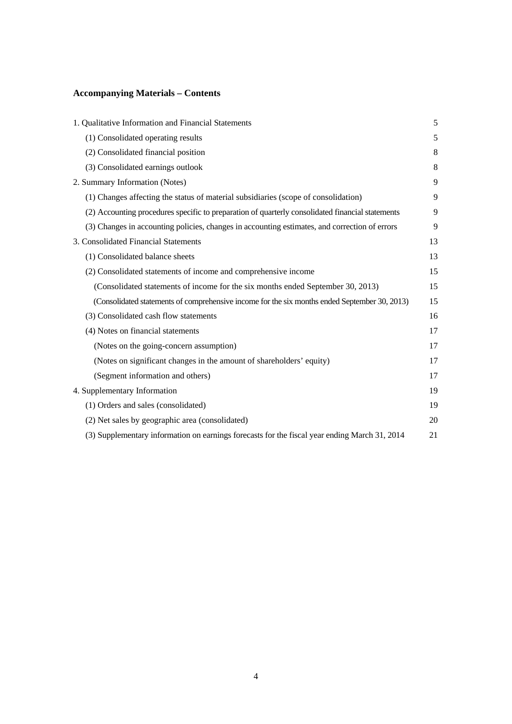## **Accompanying Materials – Contents**

| 1. Qualitative Information and Financial Statements                                              | 5  |
|--------------------------------------------------------------------------------------------------|----|
| (1) Consolidated operating results                                                               | 5  |
| (2) Consolidated financial position                                                              | 8  |
| (3) Consolidated earnings outlook                                                                | 8  |
| 2. Summary Information (Notes)                                                                   | 9  |
| (1) Changes affecting the status of material subsidiaries (scope of consolidation)               | 9  |
| (2) Accounting procedures specific to preparation of quarterly consolidated financial statements | 9  |
| (3) Changes in accounting policies, changes in accounting estimates, and correction of errors    | 9  |
| 3. Consolidated Financial Statements                                                             | 13 |
| (1) Consolidated balance sheets                                                                  | 13 |
| (2) Consolidated statements of income and comprehensive income                                   | 15 |
| (Consolidated statements of income for the six months ended September 30, 2013)                  | 15 |
| (Consolidated statements of comprehensive income for the six months ended September 30, 2013)    | 15 |
| (3) Consolidated cash flow statements                                                            | 16 |
| (4) Notes on financial statements                                                                | 17 |
| (Notes on the going-concern assumption)                                                          | 17 |
| (Notes on significant changes in the amount of shareholders' equity)                             | 17 |
| (Segment information and others)                                                                 | 17 |
| 4. Supplementary Information                                                                     | 19 |
| (1) Orders and sales (consolidated)                                                              | 19 |
| (2) Net sales by geographic area (consolidated)                                                  | 20 |
| (3) Supplementary information on earnings forecasts for the fiscal year ending March 31, 2014    | 21 |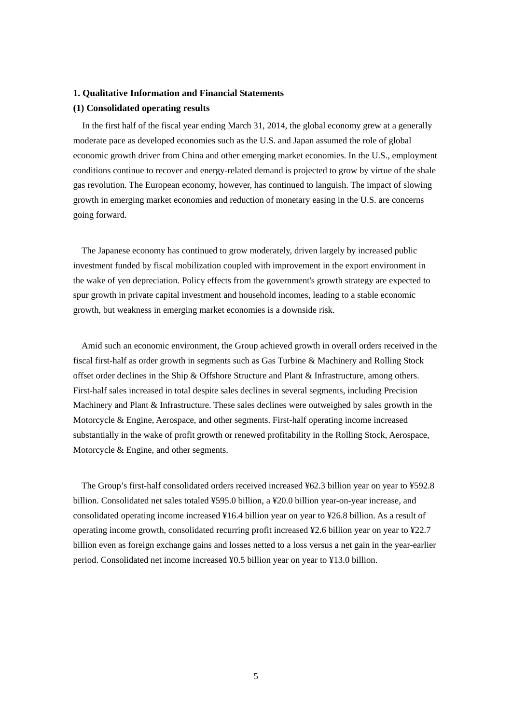#### **1. Qualitative Information and Financial Statements**

#### **(1) Consolidated operating results**

In the first half of the fiscal year ending March 31, 2014, the global economy grew at a generally moderate pace as developed economies such as the U.S. and Japan assumed the role of global economic growth driver from China and other emerging market economies. In the U.S., employment conditions continue to recover and energy-related demand is projected to grow by virtue of the shale gas revolution. The European economy, however, has continued to languish. The impact of slowing growth in emerging market economies and reduction of monetary easing in the U.S. are concerns going forward.

The Japanese economy has continued to grow moderately, driven largely by increased public investment funded by fiscal mobilization coupled with improvement in the export environment in the wake of yen depreciation. Policy effects from the government's growth strategy are expected to spur growth in private capital investment and household incomes, leading to a stable economic growth, but weakness in emerging market economies is a downside risk.

Amid such an economic environment, the Group achieved growth in overall orders received in the fiscal first-half as order growth in segments such as Gas Turbine & Machinery and Rolling Stock offset order declines in the Ship & Offshore Structure and Plant & Infrastructure, among others. First-half sales increased in total despite sales declines in several segments, including Precision Machinery and Plant & Infrastructure. These sales declines were outweighed by sales growth in the Motorcycle & Engine, Aerospace, and other segments. First-half operating income increased substantially in the wake of profit growth or renewed profitability in the Rolling Stock, Aerospace, Motorcycle & Engine, and other segments.

The Group's first-half consolidated orders received increased ¥62.3 billion year on year to ¥592.8 billion. Consolidated net sales totaled ¥595.0 billion, a ¥20.0 billion year-on-year increase, and consolidated operating income increased ¥16.4 billion year on year to ¥26.8 billion. As a result of operating income growth, consolidated recurring profit increased ¥2.6 billion year on year to ¥22.7 billion even as foreign exchange gains and losses netted to a loss versus a net gain in the year-earlier period. Consolidated net income increased ¥0.5 billion year on year to ¥13.0 billion.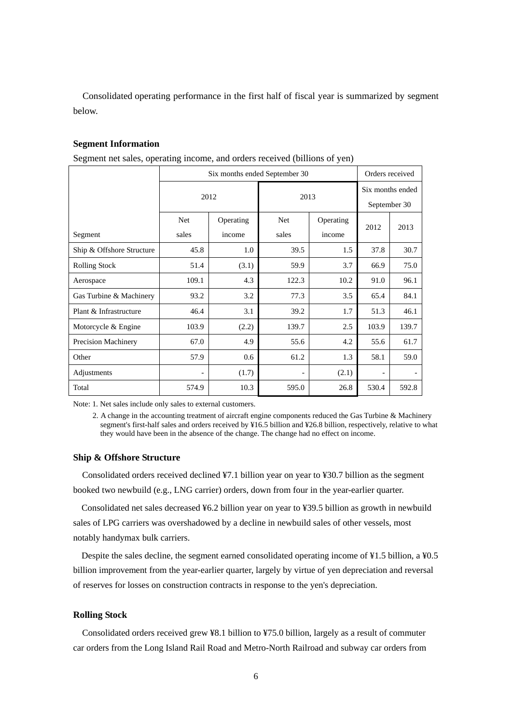Consolidated operating performance in the first half of fiscal year is summarized by segment below.

#### **Segment Information**

Segment net sales, operating income, and orders received (billions of yen)

|                            | Six months ended September 30 | Orders received |       |                  |                          |       |
|----------------------------|-------------------------------|-----------------|-------|------------------|--------------------------|-------|
|                            |                               | 2012            | 2013  | Six months ended |                          |       |
|                            |                               |                 |       |                  | September 30             |       |
|                            | Net                           | Operating       | Net   | Operating        | 2012                     | 2013  |
| Segment                    | sales                         | income          | sales | income           |                          |       |
| Ship & Offshore Structure  | 45.8                          | 1.0             | 39.5  | $1.5\,$          | 37.8                     | 30.7  |
| <b>Rolling Stock</b>       | 51.4                          | (3.1)           | 59.9  | 3.7              | 66.9                     | 75.0  |
| Aerospace                  | 109.1                         | 4.3             | 122.3 | 10.2             | 91.0                     | 96.1  |
| Gas Turbine & Machinery    | 93.2                          | 3.2             | 77.3  | 3.5              | 65.4                     | 84.1  |
| Plant & Infrastructure     | 46.4                          | 3.1             | 39.2  | 1.7              | 51.3                     | 46.1  |
| Motorcycle & Engine        | 103.9                         | (2.2)           | 139.7 | 2.5              | 103.9                    | 139.7 |
| <b>Precision Machinery</b> | 67.0                          | 4.9             | 55.6  | 4.2              | 55.6                     | 61.7  |
| Other                      | 57.9                          | 0.6             | 61.2  | 1.3              | 58.1                     | 59.0  |
| Adjustments                | $\overline{\phantom{a}}$      | (1.7)           | -     | (2.1)            | $\overline{\phantom{a}}$ |       |
| Total                      | 574.9                         | 10.3            | 595.0 | 26.8             | 530.4                    | 592.8 |

Note: 1. Net sales include only sales to external customers.

2. A change in the accounting treatment of aircraft engine components reduced the Gas Turbine & Machinery segment's first-half sales and orders received by ¥16.5 billion and ¥26.8 billion, respectively, relative to what they would have been in the absence of the change. The change had no effect on income.

#### **Ship & Offshore Structure**

Consolidated orders received declined ¥7.1 billion year on year to ¥30.7 billion as the segment booked two newbuild (e.g., LNG carrier) orders, down from four in the year-earlier quarter.

Consolidated net sales decreased ¥6.2 billion year on year to ¥39.5 billion as growth in newbuild sales of LPG carriers was overshadowed by a decline in newbuild sales of other vessels, most notably handymax bulk carriers.

Despite the sales decline, the segment earned consolidated operating income of ¥1.5 billion, a ¥0.5 billion improvement from the year-earlier quarter, largely by virtue of yen depreciation and reversal of reserves for losses on construction contracts in response to the yen's depreciation.

#### **Rolling Stock**

Consolidated orders received grew ¥8.1 billion to ¥75.0 billion, largely as a result of commuter car orders from the Long Island Rail Road and Metro-North Railroad and subway car orders from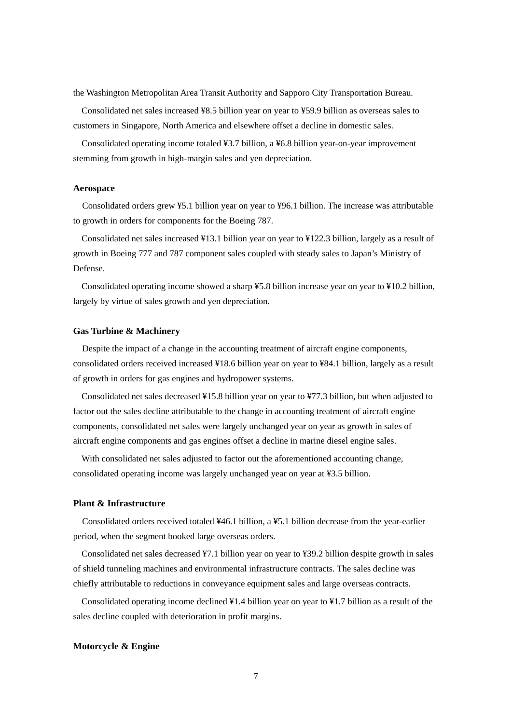the Washington Metropolitan Area Transit Authority and Sapporo City Transportation Bureau.

Consolidated net sales increased ¥8.5 billion year on year to ¥59.9 billion as overseas sales to customers in Singapore, North America and elsewhere offset a decline in domestic sales.

Consolidated operating income totaled ¥3.7 billion, a ¥6.8 billion year-on-year improvement stemming from growth in high-margin sales and yen depreciation.

#### **Aerospace**

Consolidated orders grew ¥5.1 billion year on year to ¥96.1 billion. The increase was attributable to growth in orders for components for the Boeing 787.

Consolidated net sales increased ¥13.1 billion year on year to ¥122.3 billion, largely as a result of growth in Boeing 777 and 787 component sales coupled with steady sales to Japan's Ministry of Defense.

Consolidated operating income showed a sharp ¥5.8 billion increase year on year to ¥10.2 billion, largely by virtue of sales growth and yen depreciation.

#### **Gas Turbine & Machinery**

Despite the impact of a change in the accounting treatment of aircraft engine components, consolidated orders received increased ¥18.6 billion year on year to ¥84.1 billion, largely as a result of growth in orders for gas engines and hydropower systems.

Consolidated net sales decreased ¥15.8 billion year on year to ¥77.3 billion, but when adjusted to factor out the sales decline attributable to the change in accounting treatment of aircraft engine components, consolidated net sales were largely unchanged year on year as growth in sales of aircraft engine components and gas engines offset a decline in marine diesel engine sales.

With consolidated net sales adjusted to factor out the aforementioned accounting change, consolidated operating income was largely unchanged year on year at ¥3.5 billion.

#### **Plant & Infrastructure**

Consolidated orders received totaled ¥46.1 billion, a ¥5.1 billion decrease from the year-earlier period, when the segment booked large overseas orders.

Consolidated net sales decreased ¥7.1 billion year on year to ¥39.2 billion despite growth in sales of shield tunneling machines and environmental infrastructure contracts. The sales decline was chiefly attributable to reductions in conveyance equipment sales and large overseas contracts.

Consolidated operating income declined  $\frac{1}{4}1.4$  billion year on year to  $\frac{1}{4}1.7$  billion as a result of the sales decline coupled with deterioration in profit margins.

#### **Motorcycle & Engine**

7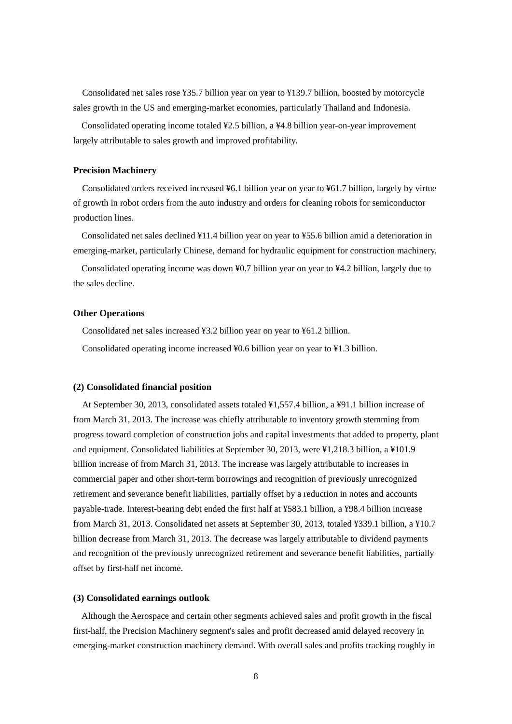Consolidated net sales rose ¥35.7 billion year on year to ¥139.7 billion, boosted by motorcycle sales growth in the US and emerging-market economies, particularly Thailand and Indonesia.

Consolidated operating income totaled ¥2.5 billion, a ¥4.8 billion year-on-year improvement largely attributable to sales growth and improved profitability.

#### **Precision Machinery**

Consolidated orders received increased ¥6.1 billion year on year to ¥61.7 billion, largely by virtue of growth in robot orders from the auto industry and orders for cleaning robots for semiconductor production lines.

Consolidated net sales declined ¥11.4 billion year on year to ¥55.6 billion amid a deterioration in emerging-market, particularly Chinese, demand for hydraulic equipment for construction machinery.

Consolidated operating income was down  $\frac{1}{2}0.7$  billion year on year to  $\frac{1}{4}4.2$  billion, largely due to the sales decline.

#### **Other Operations**

Consolidated net sales increased ¥3.2 billion year on year to ¥61.2 billion.

Consolidated operating income increased ¥0.6 billion year on year to ¥1.3 billion.

#### **(2) Consolidated financial position**

At September 30, 2013, consolidated assets totaled ¥1,557.4 billion, a ¥91.1 billion increase of from March 31, 2013. The increase was chiefly attributable to inventory growth stemming from progress toward completion of construction jobs and capital investments that added to property, plant and equipment. Consolidated liabilities at September 30, 2013, were ¥1,218.3 billion, a ¥101.9 billion increase of from March 31, 2013. The increase was largely attributable to increases in commercial paper and other short-term borrowings and recognition of previously unrecognized retirement and severance benefit liabilities, partially offset by a reduction in notes and accounts payable-trade. Interest-bearing debt ended the first half at ¥583.1 billion, a ¥98.4 billion increase from March 31, 2013. Consolidated net assets at September 30, 2013, totaled ¥339.1 billion, a ¥10.7 billion decrease from March 31, 2013. The decrease was largely attributable to dividend payments and recognition of the previously unrecognized retirement and severance benefit liabilities, partially offset by first-half net income.

#### **(3) Consolidated earnings outlook**

Although the Aerospace and certain other segments achieved sales and profit growth in the fiscal first-half, the Precision Machinery segment's sales and profit decreased amid delayed recovery in emerging-market construction machinery demand. With overall sales and profits tracking roughly in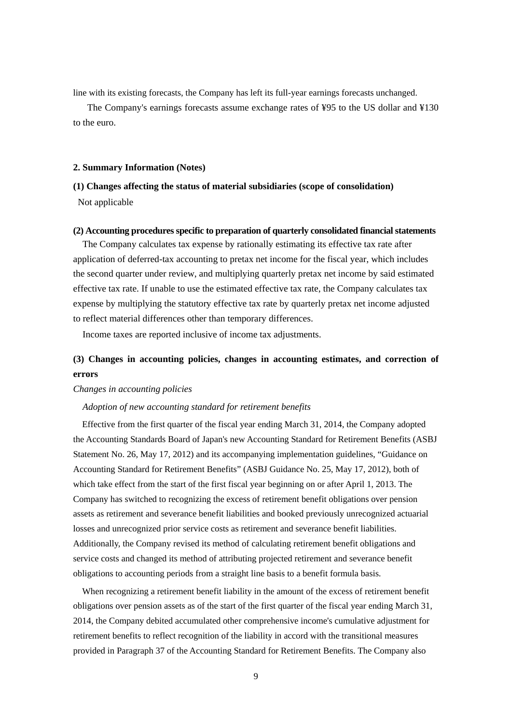line with its existing forecasts, the Company has left its full-year earnings forecasts unchanged.

The Company's earnings forecasts assume exchange rates of ¥95 to the US dollar and ¥130 to the euro.

#### **2. Summary Information (Notes)**

# **(1) Changes affecting the status of material subsidiaries (scope of consolidation)**

Not applicable

### **(2) Accounting procedures specific to preparation of quarterly consolidated financial statements**

The Company calculates tax expense by rationally estimating its effective tax rate after application of deferred-tax accounting to pretax net income for the fiscal year, which includes the second quarter under review, and multiplying quarterly pretax net income by said estimated effective tax rate. If unable to use the estimated effective tax rate, the Company calculates tax expense by multiplying the statutory effective tax rate by quarterly pretax net income adjusted to reflect material differences other than temporary differences.

Income taxes are reported inclusive of income tax adjustments.

## **(3) Changes in accounting policies, changes in accounting estimates, and correction of errors**

#### *Changes in accounting policies*

#### *Adoption of new accounting standard for retirement benefits*

Effective from the first quarter of the fiscal year ending March 31, 2014, the Company adopted the Accounting Standards Board of Japan's new Accounting Standard for Retirement Benefits (ASBJ Statement No. 26, May 17, 2012) and its accompanying implementation guidelines, "Guidance on Accounting Standard for Retirement Benefits" (ASBJ Guidance No. 25, May 17, 2012), both of which take effect from the start of the first fiscal year beginning on or after April 1, 2013. The Company has switched to recognizing the excess of retirement benefit obligations over pension assets as retirement and severance benefit liabilities and booked previously unrecognized actuarial losses and unrecognized prior service costs as retirement and severance benefit liabilities. Additionally, the Company revised its method of calculating retirement benefit obligations and service costs and changed its method of attributing projected retirement and severance benefit obligations to accounting periods from a straight line basis to a benefit formula basis.

When recognizing a retirement benefit liability in the amount of the excess of retirement benefit obligations over pension assets as of the start of the first quarter of the fiscal year ending March 31, 2014, the Company debited accumulated other comprehensive income's cumulative adjustment for retirement benefits to reflect recognition of the liability in accord with the transitional measures provided in Paragraph 37 of the Accounting Standard for Retirement Benefits. The Company also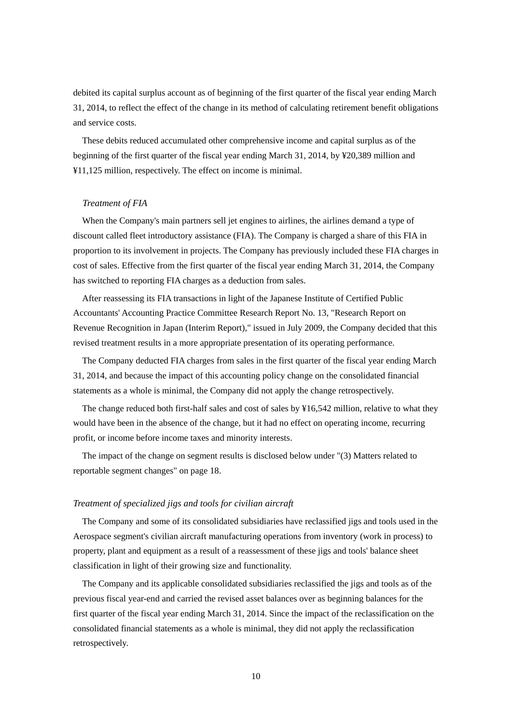debited its capital surplus account as of beginning of the first quarter of the fiscal year ending March 31, 2014, to reflect the effect of the change in its method of calculating retirement benefit obligations and service costs.

These debits reduced accumulated other comprehensive income and capital surplus as of the beginning of the first quarter of the fiscal year ending March 31, 2014, by ¥20,389 million and ¥11,125 million, respectively. The effect on income is minimal.

## *Treatment of FIA*

When the Company's main partners sell jet engines to airlines, the airlines demand a type of discount called fleet introductory assistance (FIA). The Company is charged a share of this FIA in proportion to its involvement in projects. The Company has previously included these FIA charges in cost of sales. Effective from the first quarter of the fiscal year ending March 31, 2014, the Company has switched to reporting FIA charges as a deduction from sales.

After reassessing its FIA transactions in light of the Japanese Institute of Certified Public Accountants' Accounting Practice Committee Research Report No. 13, "Research Report on Revenue Recognition in Japan (Interim Report)," issued in July 2009, the Company decided that this revised treatment results in a more appropriate presentation of its operating performance.

The Company deducted FIA charges from sales in the first quarter of the fiscal year ending March 31, 2014, and because the impact of this accounting policy change on the consolidated financial statements as a whole is minimal, the Company did not apply the change retrospectively.

The change reduced both first-half sales and cost of sales by ¥16,542 million, relative to what they would have been in the absence of the change, but it had no effect on operating income, recurring profit, or income before income taxes and minority interests.

The impact of the change on segment results is disclosed below under "(3) Matters related to reportable segment changes" on page 18.

#### *Treatment of specialized jigs and tools for civilian aircraft*

The Company and some of its consolidated subsidiaries have reclassified jigs and tools used in the Aerospace segment's civilian aircraft manufacturing operations from inventory (work in process) to property, plant and equipment as a result of a reassessment of these jigs and tools' balance sheet classification in light of their growing size and functionality.

The Company and its applicable consolidated subsidiaries reclassified the jigs and tools as of the previous fiscal year-end and carried the revised asset balances over as beginning balances for the first quarter of the fiscal year ending March 31, 2014. Since the impact of the reclassification on the consolidated financial statements as a whole is minimal, they did not apply the reclassification retrospectively.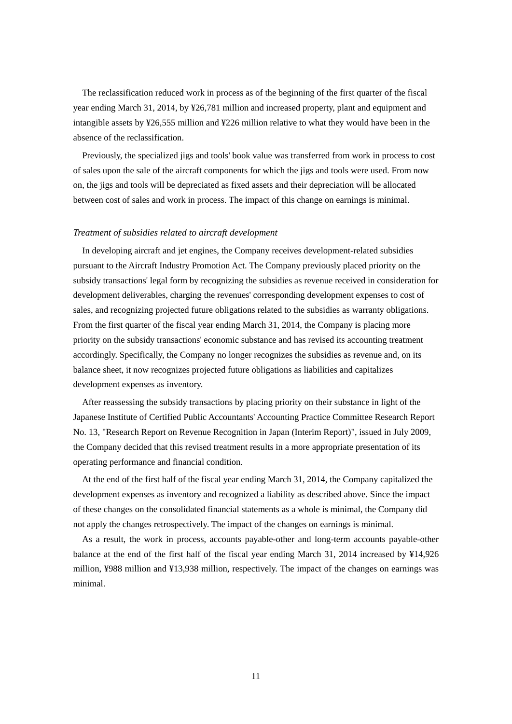The reclassification reduced work in process as of the beginning of the first quarter of the fiscal year ending March 31, 2014, by ¥26,781 million and increased property, plant and equipment and intangible assets by ¥26,555 million and ¥226 million relative to what they would have been in the absence of the reclassification.

Previously, the specialized jigs and tools' book value was transferred from work in process to cost of sales upon the sale of the aircraft components for which the jigs and tools were used. From now on, the jigs and tools will be depreciated as fixed assets and their depreciation will be allocated between cost of sales and work in process. The impact of this change on earnings is minimal.

#### *Treatment of subsidies related to aircraft development*

In developing aircraft and jet engines, the Company receives development-related subsidies pursuant to the Aircraft Industry Promotion Act. The Company previously placed priority on the subsidy transactions' legal form by recognizing the subsidies as revenue received in consideration for development deliverables, charging the revenues' corresponding development expenses to cost of sales, and recognizing projected future obligations related to the subsidies as warranty obligations. From the first quarter of the fiscal year ending March 31, 2014, the Company is placing more priority on the subsidy transactions' economic substance and has revised its accounting treatment accordingly. Specifically, the Company no longer recognizes the subsidies as revenue and, on its balance sheet, it now recognizes projected future obligations as liabilities and capitalizes development expenses as inventory.

After reassessing the subsidy transactions by placing priority on their substance in light of the Japanese Institute of Certified Public Accountants' Accounting Practice Committee Research Report No. 13, "Research Report on Revenue Recognition in Japan (Interim Report)", issued in July 2009, the Company decided that this revised treatment results in a more appropriate presentation of its operating performance and financial condition.

At the end of the first half of the fiscal year ending March 31, 2014, the Company capitalized the development expenses as inventory and recognized a liability as described above. Since the impact of these changes on the consolidated financial statements as a whole is minimal, the Company did not apply the changes retrospectively. The impact of the changes on earnings is minimal.

As a result, the work in process, accounts payable-other and long-term accounts payable-other balance at the end of the first half of the fiscal year ending March 31, 2014 increased by ¥14,926 million, ¥988 million and ¥13,938 million, respectively. The impact of the changes on earnings was minimal.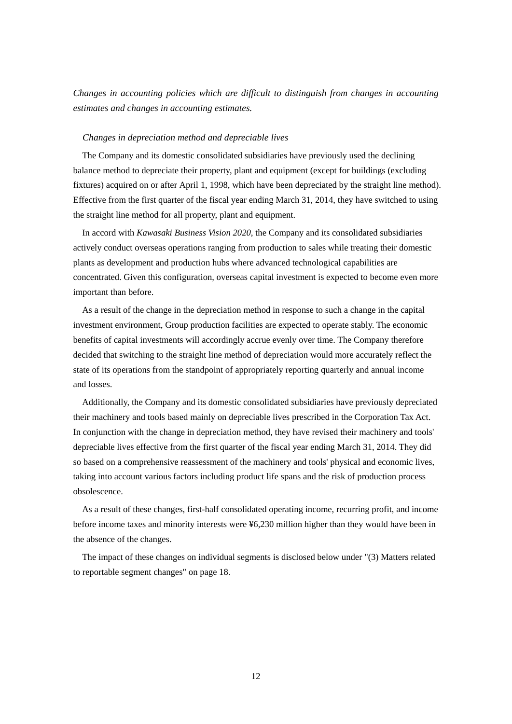*Changes in accounting policies which are difficult to distinguish from changes in accounting estimates and changes in accounting estimates.* 

#### *Changes in depreciation method and depreciable lives*

The Company and its domestic consolidated subsidiaries have previously used the declining balance method to depreciate their property, plant and equipment (except for buildings (excluding fixtures) acquired on or after April 1, 1998, which have been depreciated by the straight line method). Effective from the first quarter of the fiscal year ending March 31, 2014, they have switched to using the straight line method for all property, plant and equipment.

In accord with *Kawasaki Business Vision 2020*, the Company and its consolidated subsidiaries actively conduct overseas operations ranging from production to sales while treating their domestic plants as development and production hubs where advanced technological capabilities are concentrated. Given this configuration, overseas capital investment is expected to become even more important than before.

As a result of the change in the depreciation method in response to such a change in the capital investment environment, Group production facilities are expected to operate stably. The economic benefits of capital investments will accordingly accrue evenly over time. The Company therefore decided that switching to the straight line method of depreciation would more accurately reflect the state of its operations from the standpoint of appropriately reporting quarterly and annual income and losses.

Additionally, the Company and its domestic consolidated subsidiaries have previously depreciated their machinery and tools based mainly on depreciable lives prescribed in the Corporation Tax Act. In conjunction with the change in depreciation method, they have revised their machinery and tools' depreciable lives effective from the first quarter of the fiscal year ending March 31, 2014. They did so based on a comprehensive reassessment of the machinery and tools' physical and economic lives, taking into account various factors including product life spans and the risk of production process obsolescence.

As a result of these changes, first-half consolidated operating income, recurring profit, and income before income taxes and minority interests were ¥6,230 million higher than they would have been in the absence of the changes.

The impact of these changes on individual segments is disclosed below under "(3) Matters related to reportable segment changes" on page 18.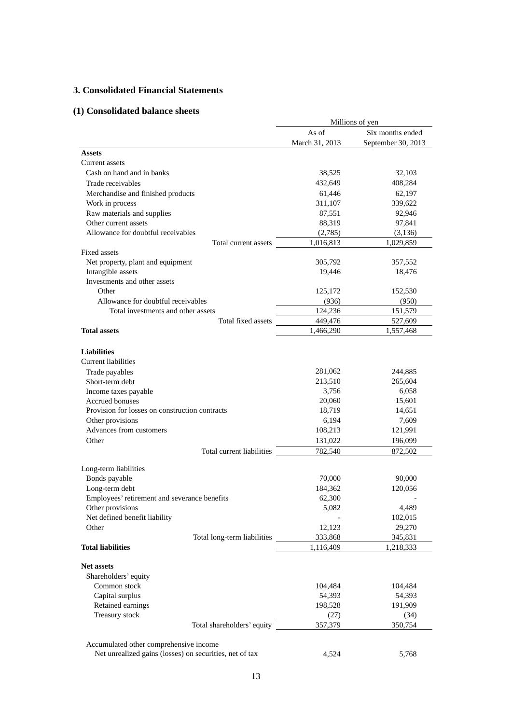## **3. Consolidated Financial Statements**

## **(1) Consolidated balance sheets**

|                                                         |                    | Millions of yen    |
|---------------------------------------------------------|--------------------|--------------------|
|                                                         | As of              | Six months ended   |
|                                                         | March 31, 2013     | September 30, 2013 |
| Assets                                                  |                    |                    |
| Current assets                                          |                    |                    |
| Cash on hand and in banks                               | 38,525             | 32,103             |
| Trade receivables                                       | 432,649            | 408,284            |
| Merchandise and finished products                       | 61,446             | 62,197             |
| Work in process                                         | 311,107            | 339,622            |
| Raw materials and supplies                              | 87,551             | 92,946             |
| Other current assets                                    | 88,319             | 97,841             |
| Allowance for doubtful receivables                      | (2,785)            | (3, 136)           |
| Total current assets                                    | 1,016,813          | 1,029,859          |
| <b>Fixed assets</b>                                     |                    |                    |
| Net property, plant and equipment                       | 305,792            | 357,552            |
| Intangible assets                                       | 19,446             | 18,476             |
| Investments and other assets                            |                    |                    |
| Other<br>Allowance for doubtful receivables             | 125,172            | 152,530            |
| Total investments and other assets                      | (936)              | (950)<br>151,579   |
| Total fixed assets                                      | 124,236<br>449,476 | 527,609            |
| <b>Total assets</b>                                     | 1,466,290          | 1,557,468          |
|                                                         |                    |                    |
| <b>Liabilities</b><br><b>Current liabilities</b>        |                    |                    |
| Trade payables                                          | 281,062            | 244,885            |
| Short-term debt                                         | 213,510            | 265,604            |
| Income taxes payable                                    | 3,756              | 6,058              |
| <b>Accrued bonuses</b>                                  | 20,060             | 15,601             |
| Provision for losses on construction contracts          | 18,719             | 14,651             |
| Other provisions                                        | 6,194              | 7,609              |
| Advances from customers                                 | 108,213            | 121,991            |
| Other                                                   | 131,022            | 196,099            |
| Total current liabilities                               | 782,540            | 872.502            |
|                                                         |                    |                    |
| Long-term liabilities<br>Bonds payable                  |                    |                    |
| Long-term debt                                          | 70,000<br>184,362  | 90,000<br>120,056  |
| Employees' retirement and severance benefits            | 62,300             |                    |
| Other provisions                                        | 5,082              | 4,489              |
| Net defined benefit liability                           |                    | 102,015            |
| Other                                                   | 12,123             | 29,270             |
| Total long-term liabilities                             | 333,868            | 345,831            |
| <b>Total liabilities</b>                                | 1,116,409          | 1,218,333          |
|                                                         |                    |                    |
| <b>Net assets</b>                                       |                    |                    |
| Shareholders' equity                                    |                    |                    |
| Common stock                                            | 104,484            | 104,484            |
| Capital surplus                                         | 54,393             | 54,393             |
| Retained earnings                                       | 198,528            | 191,909            |
| Treasury stock                                          | (27)               | (34)               |
| Total shareholders' equity                              | 357,379            | 350,754            |
|                                                         |                    |                    |
| Accumulated other comprehensive income                  |                    |                    |
| Net unrealized gains (losses) on securities, net of tax | 4,524              | 5,768              |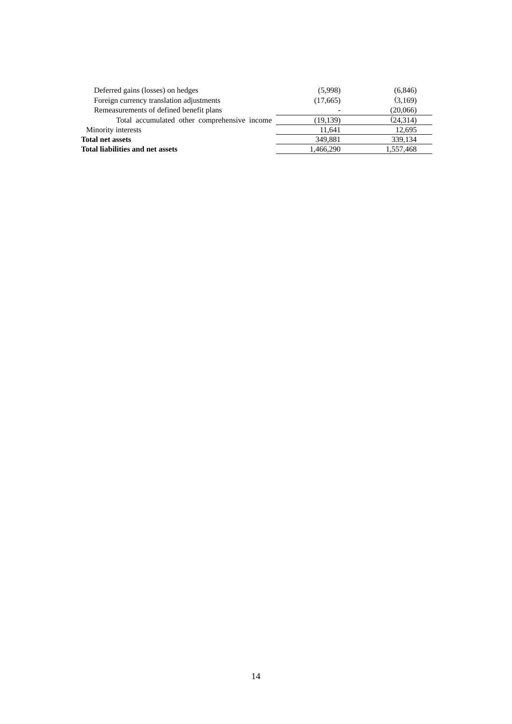| Deferred gains (losses) on hedges            | (5,998)   | (6, 846)  |
|----------------------------------------------|-----------|-----------|
| Foreign currency translation adjustments     | (17,665)  | (3,169)   |
| Remeasurements of defined benefit plans      |           | (20,066)  |
| Total accumulated other comprehensive income | (19, 139) | (24,314)  |
| Minority interests                           | 11.641    | 12,695    |
| <b>Total net assets</b>                      | 349.881   | 339,134   |
| Total liabilities and net assets             | 1,466,290 | 1,557,468 |
|                                              |           |           |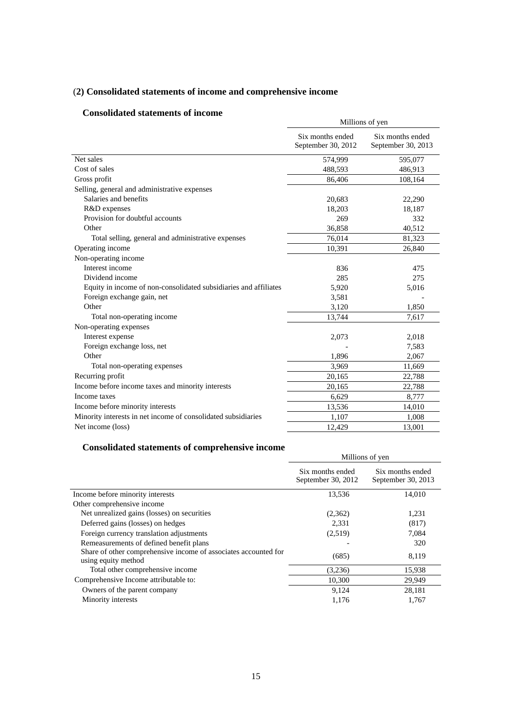## (**2) Consolidated statements of income and comprehensive income**

## **Consolidated statements of income**

| Consonuateu statements of muonie                                 | Millions of yen                        |                                        |  |
|------------------------------------------------------------------|----------------------------------------|----------------------------------------|--|
|                                                                  | Six months ended<br>September 30, 2012 | Six months ended<br>September 30, 2013 |  |
| Net sales                                                        | 574,999                                | 595,077                                |  |
| Cost of sales                                                    | 488,593                                | 486,913                                |  |
| Gross profit                                                     | 86,406                                 | 108,164                                |  |
| Selling, general and administrative expenses                     |                                        |                                        |  |
| Salaries and benefits                                            | 20,683                                 | 22,290                                 |  |
| R&D expenses                                                     | 18,203                                 | 18,187                                 |  |
| Provision for doubtful accounts                                  | 269                                    | 332                                    |  |
| Other                                                            | 36,858                                 | 40,512                                 |  |
| Total selling, general and administrative expenses               | 76,014                                 | 81,323                                 |  |
| Operating income                                                 | 10,391                                 | 26,840                                 |  |
| Non-operating income                                             |                                        |                                        |  |
| Interest income                                                  | 836                                    | 475                                    |  |
| Dividend income                                                  | 285                                    | 275                                    |  |
| Equity in income of non-consolidated subsidiaries and affiliates | 5,920                                  | 5,016                                  |  |
| Foreign exchange gain, net                                       | 3,581                                  |                                        |  |
| Other                                                            | 3,120                                  | 1,850                                  |  |
| Total non-operating income                                       | 13,744                                 | 7,617                                  |  |
| Non-operating expenses                                           |                                        |                                        |  |
| Interest expense                                                 | 2,073                                  | 2,018                                  |  |
| Foreign exchange loss, net                                       |                                        | 7,583                                  |  |
| Other                                                            | 1,896                                  | 2,067                                  |  |
| Total non-operating expenses                                     | 3,969                                  | 11,669                                 |  |
| Recurring profit                                                 | 20,165                                 | 22,788                                 |  |
| Income before income taxes and minority interests                | 20,165                                 | 22,788                                 |  |
| Income taxes                                                     | 6.629                                  | 8,777                                  |  |
| Income before minority interests                                 | 13,536                                 | 14,010                                 |  |
| Minority interests in net income of consolidated subsidiaries    | 1,107                                  | 1,008                                  |  |
| Net income (loss)                                                | 12,429                                 | 13,001                                 |  |

## **Consolidated statements of comprehensive income**

|                                                                                        | Millions of yen                        |                                        |  |
|----------------------------------------------------------------------------------------|----------------------------------------|----------------------------------------|--|
|                                                                                        | Six months ended<br>September 30, 2012 | Six months ended<br>September 30, 2013 |  |
| Income before minority interests                                                       | 13,536                                 | 14,010                                 |  |
| Other comprehensive income                                                             |                                        |                                        |  |
| Net unrealized gains (losses) on securities                                            | (2,362)                                | 1,231                                  |  |
| Deferred gains (losses) on hedges                                                      | 2,331                                  | (817)                                  |  |
| Foreign currency translation adjustments                                               | (2,519)                                | 7,084                                  |  |
| Remeasurements of defined benefit plans                                                |                                        | 320                                    |  |
| Share of other comprehensive income of associates accounted for<br>using equity method | (685)                                  | 8,119                                  |  |
| Total other comprehensive income                                                       | (3,236)                                | 15,938                                 |  |
| Comprehensive Income attributable to:                                                  | 10,300                                 | 29,949                                 |  |
| Owners of the parent company                                                           | 9,124                                  | 28,181                                 |  |
| Minority interests                                                                     | 1,176                                  | 1.767                                  |  |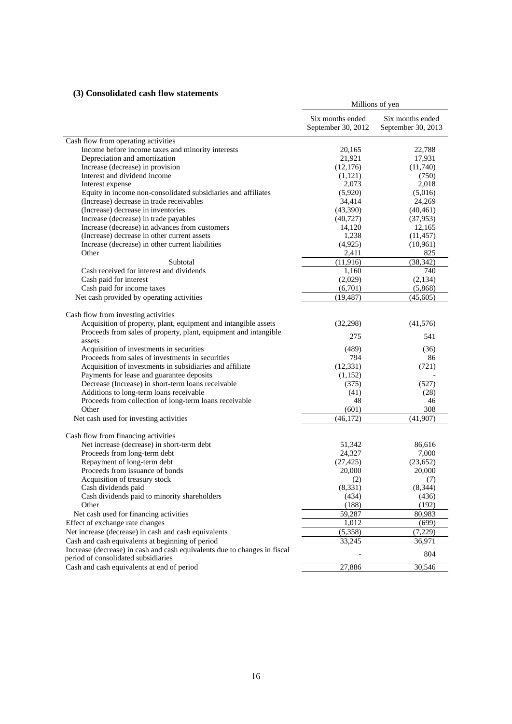## **(3) Consolidated cash flow statements**

|                                                                                                                                     | Millions of yen                        |                                        |
|-------------------------------------------------------------------------------------------------------------------------------------|----------------------------------------|----------------------------------------|
|                                                                                                                                     | Six months ended<br>September 30, 2012 | Six months ended<br>September 30, 2013 |
| Cash flow from operating activities                                                                                                 |                                        |                                        |
| Income before income taxes and minority interests                                                                                   | 20,165                                 | 22,788                                 |
| Depreciation and amortization                                                                                                       | 21,921                                 | 17,931                                 |
| Increase (decrease) in provision                                                                                                    | (12, 176)                              | (11,740)                               |
| Interest and dividend income                                                                                                        | (1,121)                                | (750)                                  |
| Interest expense                                                                                                                    | 2,073                                  | 2,018                                  |
| Equity in income non-consolidated subsidiaries and affiliates                                                                       | (5,920)                                | (5,016)                                |
| (Increase) decrease in trade receivables                                                                                            | 34,414                                 | 24,269                                 |
| (Increase) decrease in inventories                                                                                                  | (43,390)                               | (40, 461)                              |
| Increase (decrease) in trade payables                                                                                               | (40, 727)                              | (37, 953)                              |
| Increase (decrease) in advances from customers                                                                                      | 14,120                                 | 12,165                                 |
| (Increase) decrease in other current assets                                                                                         | 1,238                                  | (11, 457)                              |
| Increase (decrease) in other current liabilities                                                                                    | (4,925)                                | (10, 961)                              |
| Other                                                                                                                               | 2,411                                  | 825                                    |
| Subtotal                                                                                                                            | (11, 916)                              | (38, 342)                              |
| Cash received for interest and dividends                                                                                            | 1,160                                  | 740                                    |
| Cash paid for interest                                                                                                              | (2,029)                                | (2, 134)                               |
| Cash paid for income taxes                                                                                                          | (6,701)                                | (5,868)                                |
| Net cash provided by operating activities                                                                                           | (19, 487)                              | (45, 605)                              |
| Cash flow from investing activities                                                                                                 |                                        |                                        |
| Acquisition of property, plant, equipment and intangible assets<br>Proceeds from sales of property, plant, equipment and intangible | (32, 298)                              | (41,576)                               |
| assets                                                                                                                              | 275                                    | 541                                    |
| Acquisition of investments in securities                                                                                            | (489)                                  | (36)                                   |
| Proceeds from sales of investments in securities                                                                                    | 794                                    | 86                                     |
| Acquisition of investments in subsidiaries and affiliate                                                                            | (12, 331)                              | (721)                                  |
| Payments for lease and guarantee deposits                                                                                           | (1,152)                                |                                        |
| Decrease (Increase) in short-term loans receivable                                                                                  | (375)                                  | (527)                                  |
| Additions to long-term loans receivable                                                                                             | (41)                                   | (28)                                   |
| Proceeds from collection of long-term loans receivable                                                                              | 48                                     | 46                                     |
| Other                                                                                                                               | (601)                                  | 308                                    |
| Net cash used for investing activities                                                                                              | (46, 172)                              | (41,907)                               |
| Cash flow from financing activities                                                                                                 |                                        |                                        |
| Net increase (decrease) in short-term debt                                                                                          | 51,342                                 | 86,616                                 |
| Proceeds from long-term debt                                                                                                        | 24,327                                 | 7,000                                  |
| Repayment of long-term debt                                                                                                         | (27, 425)                              | (23, 652)                              |
| Proceeds from issuance of bonds                                                                                                     | 20,000                                 | 20,000                                 |
| Acquisition of treasury stock                                                                                                       | (2)                                    | (7)                                    |
| Cash dividends paid                                                                                                                 | (8, 331)                               | (8, 344)                               |
| Cash dividends paid to minority shareholders                                                                                        | (434)                                  | (436)                                  |
| Other                                                                                                                               | (188)                                  | (192)                                  |
| Net cash used for financing activities                                                                                              | 59,287                                 | 80,983                                 |
| Effect of exchange rate changes                                                                                                     | 1,012                                  | (699)                                  |
| Net increase (decrease) in cash and cash equivalents                                                                                | (5,358)                                | (7,229)                                |
| Cash and cash equivalents at beginning of period                                                                                    | 33,245                                 | 36,971                                 |
| Increase (decrease) in cash and cash equivalents due to changes in fiscal                                                           |                                        | 804                                    |
| period of consolidated subsidiaries                                                                                                 |                                        |                                        |
| Cash and cash equivalents at end of period                                                                                          | 27,886                                 | 30,546                                 |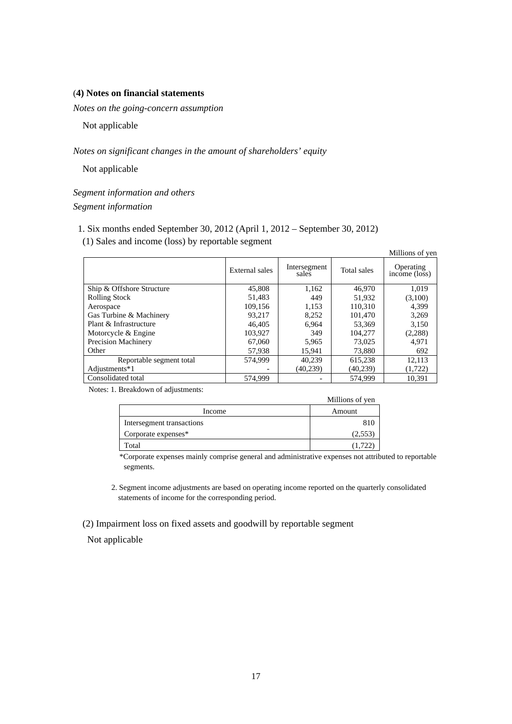### (**4) Notes on financial statements**

*Notes on the going-concern assumption* 

Not applicable

*Notes on significant changes in the amount of shareholders' equity* 

Not applicable

*Segment information and others Segment information* 

1. Six months ended September 30, 2012 (April 1, 2012 – September 30, 2012)

(1) Sales and income (loss) by reportable segment

| Millions of yen            |                |                       |             |                            |  |  |
|----------------------------|----------------|-----------------------|-------------|----------------------------|--|--|
|                            | External sales | Intersegment<br>sales | Total sales | Operating<br>income (loss) |  |  |
| Ship & Offshore Structure  | 45,808         | 1,162                 | 46,970      | 1,019                      |  |  |
| <b>Rolling Stock</b>       | 51,483         | 449                   | 51,932      | (3,100)                    |  |  |
| Aerospace                  | 109.156        | 1,153                 | 110.310     | 4.399                      |  |  |
| Gas Turbine & Machinery    | 93,217         | 8.252                 | 101.470     | 3,269                      |  |  |
| Plant & Infrastructure     | 46,405         | 6.964                 | 53,369      | 3,150                      |  |  |
| Motorcycle & Engine        | 103.927        | 349                   | 104,277     | (2,288)                    |  |  |
| <b>Precision Machinery</b> | 67,060         | 5,965                 | 73,025      | 4,971                      |  |  |
| Other                      | 57,938         | 15.941                | 73,880      | 692                        |  |  |
| Reportable segment total   | 574,999        | 40,239                | 615,238     | 12,113                     |  |  |
| Adjustments*1              |                | (40, 239)             | (40, 239)   | (1, 722)                   |  |  |
| Consolidated total         | 574,999        |                       | 574,999     | 10.391                     |  |  |

Notes: 1. Breakdown of adjustments:

|                           | Millions of yen |
|---------------------------|-----------------|
| Income                    | Amount          |
| Intersegment transactions | 810             |
| Corporate expenses*       | (2,553          |
| Total                     | (1,72)          |

\*Corporate expenses mainly comprise general and administrative expenses not attributed to reportable segments.

2. Segment income adjustments are based on operating income reported on the quarterly consolidated statements of income for the corresponding period.

(2) Impairment loss on fixed assets and goodwill by reportable segment

Not applicable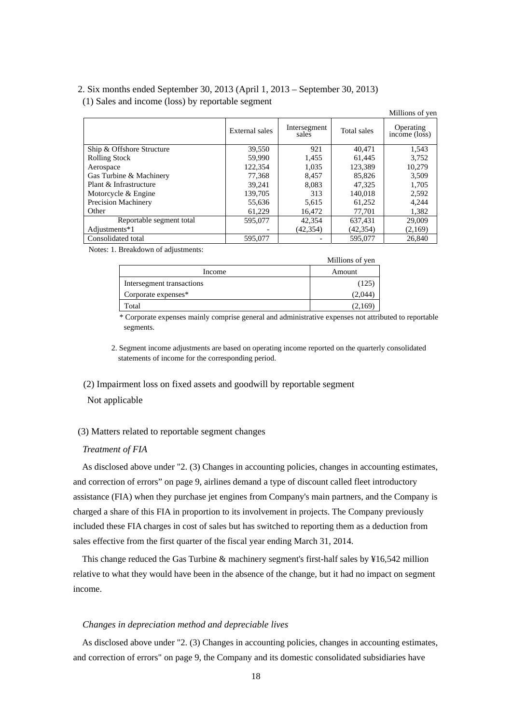## 2. Six months ended September 30, 2013 (April 1, 2013 – September 30, 2013) (1) Sales and income (loss) by reportable segment

|                            |                |                       |             | Millions of yen                         |
|----------------------------|----------------|-----------------------|-------------|-----------------------------------------|
|                            | External sales | Intersegment<br>sales | Total sales | Operating<br>$inc\overline{one}$ (loss) |
| Ship & Offshore Structure  | 39,550         | 921                   | 40,471      | 1,543                                   |
| <b>Rolling Stock</b>       | 59,990         | 1,455                 | 61.445      | 3,752                                   |
| Aerospace                  | 122,354        | 1.035                 | 123,389     | 10,279                                  |
| Gas Turbine & Machinery    | 77,368         | 8.457                 | 85,826      | 3,509                                   |
| Plant & Infrastructure     | 39,241         | 8,083                 | 47.325      | 1,705                                   |
| Motorcycle & Engine        | 139.705        | 313                   | 140,018     | 2,592                                   |
| <b>Precision Machinery</b> | 55,636         | 5,615                 | 61,252      | 4,244                                   |
| Other                      | 61,229         | 16,472                | 77,701      | 1,382                                   |
| Reportable segment total   | 595,077        | 42,354                | 637,431     | 29,009                                  |
| Adjustments*1              |                | (42,354)              | (42,354)    | (2,169)                                 |
| Consolidated total         | 595,077        |                       | 595,077     | 26,840                                  |

Notes: 1. Breakdown of adjustments:

|                           | Millions of yen |
|---------------------------|-----------------|
| Income                    | Amount          |
| Intersegment transactions | (125)           |
| Corporate expenses*       | (2,044)         |
| Total                     | (2,169          |

\* Corporate expenses mainly comprise general and administrative expenses not attributed to reportable segments.

2. Segment income adjustments are based on operating income reported on the quarterly consolidated statements of income for the corresponding period.

(2) Impairment loss on fixed assets and goodwill by reportable segment

Not applicable

### (3) Matters related to reportable segment changes

## *Treatment of FIA*

As disclosed above under "2. (3) Changes in accounting policies, changes in accounting estimates, and correction of errors" on page 9, airlines demand a type of discount called fleet introductory assistance (FIA) when they purchase jet engines from Company's main partners, and the Company is charged a share of this FIA in proportion to its involvement in projects. The Company previously included these FIA charges in cost of sales but has switched to reporting them as a deduction from sales effective from the first quarter of the fiscal year ending March 31, 2014.

This change reduced the Gas Turbine & machinery segment's first-half sales by ¥16,542 million relative to what they would have been in the absence of the change, but it had no impact on segment income.

#### *Changes in depreciation method and depreciable lives*

As disclosed above under "2. (3) Changes in accounting policies, changes in accounting estimates, and correction of errors" on page 9, the Company and its domestic consolidated subsidiaries have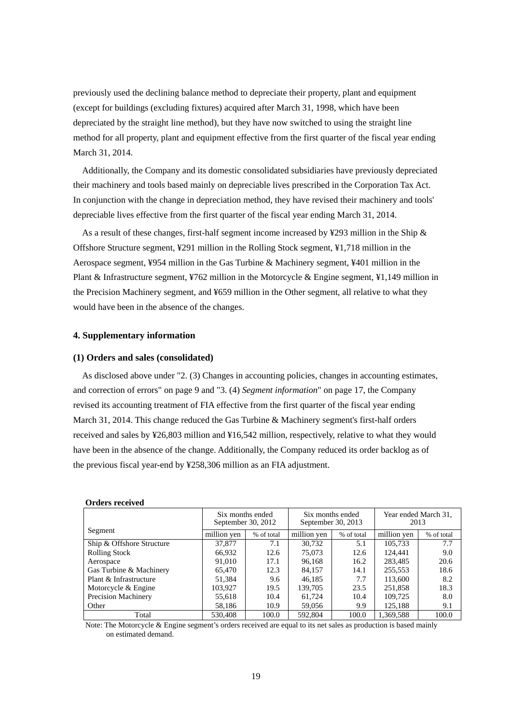previously used the declining balance method to depreciate their property, plant and equipment (except for buildings (excluding fixtures) acquired after March 31, 1998, which have been depreciated by the straight line method), but they have now switched to using the straight line method for all property, plant and equipment effective from the first quarter of the fiscal year ending March 31, 2014.

Additionally, the Company and its domestic consolidated subsidiaries have previously depreciated their machinery and tools based mainly on depreciable lives prescribed in the Corporation Tax Act. In conjunction with the change in depreciation method, they have revised their machinery and tools' depreciable lives effective from the first quarter of the fiscal year ending March 31, 2014.

As a result of these changes, first-half segment income increased by ¥293 million in the Ship & Offshore Structure segment, ¥291 million in the Rolling Stock segment, ¥1,718 million in the Aerospace segment, ¥954 million in the Gas Turbine & Machinery segment, ¥401 million in the Plant & Infrastructure segment, ¥762 million in the Motorcycle & Engine segment, ¥1,149 million in the Precision Machinery segment, and ¥659 million in the Other segment, all relative to what they would have been in the absence of the changes.

#### **4. Supplementary information**

#### **(1) Orders and sales (consolidated)**

As disclosed above under "2. (3) Changes in accounting policies, changes in accounting estimates, and correction of errors" on page 9 and "3. (4) *Segment information*" on page 17, the Company revised its accounting treatment of FIA effective from the first quarter of the fiscal year ending March 31, 2014. This change reduced the Gas Turbine & Machinery segment's first-half orders received and sales by ¥26,803 million and ¥16,542 million, respectively, relative to what they would have been in the absence of the change. Additionally, the Company reduced its order backlog as of the previous fiscal year-end by ¥258,306 million as an FIA adjustment.

|                            |             | Six months ended<br>September 30, 2012 | September 30, 2013 | Six months ended | 2013        | Year ended March 31, |
|----------------------------|-------------|----------------------------------------|--------------------|------------------|-------------|----------------------|
| Segment                    | million ven | % of total                             | million ven        | % of total       | million yen | % of total           |
| Ship & Offshore Structure  | 37,877      | 7.1                                    | 30.732             | 5.1              | 105.733     | 7.7                  |
| <b>Rolling Stock</b>       | 66.932      | 12.6                                   | 75,073             | 12.6             | 124,441     | 9.0                  |
| Aerospace                  | 91,010      | 17.1                                   | 96,168             | 16.2             | 283.485     | 20.6                 |
| Gas Turbine & Machinery    | 65.470      | 12.3                                   | 84,157             | 14.1             | 255,553     | 18.6                 |
| Plant & Infrastructure     | 51,384      | 9.6                                    | 46,185             | 7.7              | 113,600     | 8.2                  |
| Motorcycle & Engine        | 103,927     | 19.5                                   | 139,705            | 23.5             | 251,858     | 18.3                 |
| <b>Precision Machinery</b> | 55,618      | 10.4                                   | 61.724             | 10.4             | 109.725     | 8.0                  |
| Other                      | 58,186      | 10.9                                   | 59,056             | 9.9              | 125,188     | 9.1                  |
| Total                      | 530,408     | 100.0                                  | 592,804            | 100.0            | 1,369,588   | 100.0                |

#### **Orders received**

Note: The Motorcycle & Engine segment's orders received are equal to its net sales as production is based mainly on estimated demand.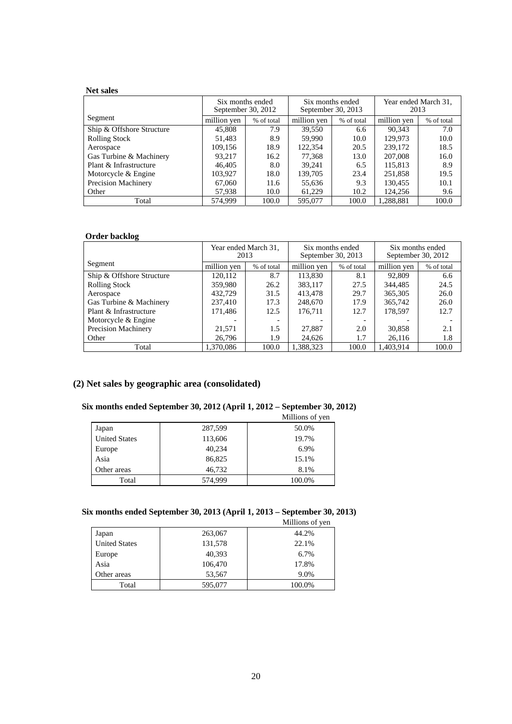## **Net sales**

|                            | Six months ended | September 30, 2012 | Six months ended<br>September 30, 2013 |            | 2013        | Year ended March 31, |
|----------------------------|------------------|--------------------|----------------------------------------|------------|-------------|----------------------|
| Segment                    | million yen      | % of total         | million yen                            | % of total | million yen | % of total           |
| Ship & Offshore Structure  | 45,808           | 7.9                | 39.550                                 | 6.6        | 90.343      | 7.0                  |
| <b>Rolling Stock</b>       | 51,483           | 8.9                | 59,990                                 | 10.0       | 129.973     | 10.0                 |
| Aerospace                  | 109,156          | 18.9               | 122,354                                | 20.5       | 239,172     | 18.5                 |
| Gas Turbine & Machinery    | 93.217           | 16.2               | 77,368                                 | 13.0       | 207,008     | 16.0                 |
| Plant & Infrastructure     | 46,405           | 8.0                | 39,241                                 | 6.5        | 115,813     | 8.9                  |
| Motorcycle & Engine        | 103.927          | 18.0               | 139.705                                | 23.4       | 251,858     | 19.5                 |
| <b>Precision Machinery</b> | 67,060           | 11.6               | 55,636                                 | 9.3        | 130,455     | 10.1                 |
| Other                      | 57,938           | 10.0               | 61,229                                 | 10.2       | 124.256     | 9.6                  |
| Total                      | 574.999          | 100.0              | 595,077                                | 100.0      | 1,288,881   | 100.0                |

#### **Order backlog**

|                            | 2013        | Year ended March 31, | Six months ended<br>September 30, 2013 |            | September 30, 2012 | Six months ended |
|----------------------------|-------------|----------------------|----------------------------------------|------------|--------------------|------------------|
| Segment                    | million yen | % of total           | million yen                            | % of total | million yen        | % of total       |
| Ship & Offshore Structure  | 120.112     | 8.7                  | 113.830                                | 8.1        | 92,809             | 6.6              |
| <b>Rolling Stock</b>       | 359,980     | 26.2                 | 383,117                                | 27.5       | 344,485            | 24.5             |
| Aerospace                  | 432,729     | 31.5                 | 413,478                                | 29.7       | 365,305            | 26.0             |
| Gas Turbine & Machinery    | 237,410     | 17.3                 | 248,670                                | 17.9       | 365,742            | 26.0             |
| Plant & Infrastructure     | 171,486     | 12.5                 | 176,711                                | 12.7       | 178,597            | 12.7             |
| Motorcycle & Engine        |             |                      |                                        |            |                    |                  |
| <b>Precision Machinery</b> | 21,571      | 1.5                  | 27,887                                 | 2.0        | 30,858             | 2.1              |
| Other                      | 26,796      | 1.9                  | 24,626                                 | 1.7        | 26,116             | 1.8              |
| Total                      | 1.370.086   | 100.0                | 1.388.323                              | 100.0      | 1.403.914          | 100.0            |

## **(2) Net sales by geographic area (consolidated)**

## **Six months ended September 30, 2012 (April 1, 2012 – September 30, 2012)**

|                      |         | Millions of yen |
|----------------------|---------|-----------------|
| Japan                | 287,599 | 50.0%           |
| <b>United States</b> | 113,606 | 19.7%           |
| Europe               | 40,234  | 6.9%            |
| Asia                 | 86,825  | 15.1%           |
| Other areas          | 46,732  | 8.1%            |
| Total                | 574,999 | 100.0%          |

## **Six months ended September 30, 2013 (April 1, 2013 – September 30, 2013)**

|                      |         | Millions of yen |
|----------------------|---------|-----------------|
| Japan                | 263,067 | 44.2%           |
| <b>United States</b> | 131,578 | 22.1%           |
| Europe               | 40,393  | 6.7%            |
| Asia                 | 106,470 | 17.8%           |
| Other areas          | 53,567  | 9.0%            |
| Total                | 595,077 | 100.0%          |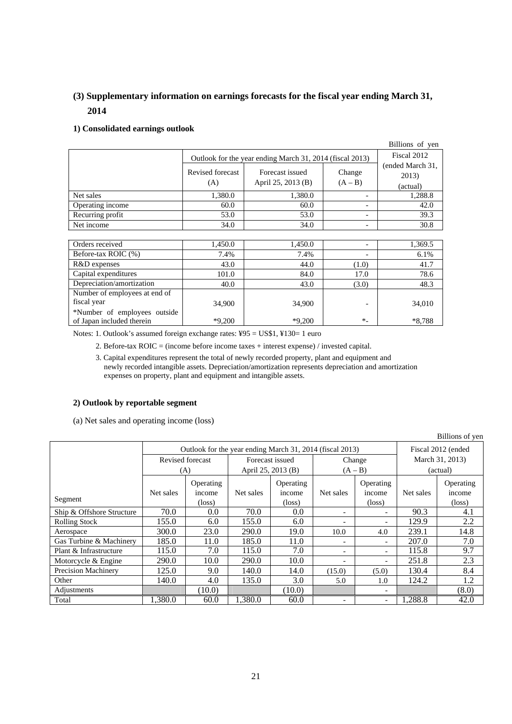## **(3) Supplementary information on earnings forecasts for the fiscal year ending March 31, 2014**

## **1) Consolidated earnings outlook**

|                  |                         |                                                          |                          | Billions of yen                       |  |  |
|------------------|-------------------------|----------------------------------------------------------|--------------------------|---------------------------------------|--|--|
|                  |                         | Outlook for the year ending March 31, 2014 (fiscal 2013) |                          |                                       |  |  |
|                  | Revised forecast<br>(A) | Forecast issued<br>April 25, 2013 (B)                    | Change<br>$(A - B)$      | (ended March 31,<br>2013)<br>(actual) |  |  |
| Net sales        | 1,380.0                 | 1,380.0                                                  | $\overline{\phantom{0}}$ | 1,288.8                               |  |  |
| Operating income | 60.0                    | 60.0                                                     | $\overline{\phantom{0}}$ | 42.0                                  |  |  |
| Recurring profit | 53.0                    | 53.0                                                     | $\overline{\phantom{0}}$ | 39.3                                  |  |  |
| Net income       | 34.0                    | 34.0                                                     | $\overline{\phantom{0}}$ | 30.8                                  |  |  |

| Orders received               | 1,450.0  | 1,450.0  | $\overline{\phantom{0}}$ | 1,369.5 |
|-------------------------------|----------|----------|--------------------------|---------|
| Before-tax ROIC (%)           | 7.4%     | 7.4%     | $\overline{\phantom{0}}$ | 6.1%    |
| R&D expenses                  | 43.0     | 44.0     | (1.0)                    | 41.7    |
| Capital expenditures          | 101.0    | 84.0     | 17.0                     | 78.6    |
| Depreciation/amortization     | 40.0     | 43.0     | (3.0)                    | 48.3    |
| Number of employees at end of |          |          |                          |         |
| fiscal year                   | 34,900   | 34,900   | $\overline{\phantom{0}}$ | 34,010  |
| *Number of employees outside  |          |          |                          |         |
| of Japan included therein     | $*9.200$ | $*9,200$ | $*_{-}$                  | *8.788  |

Notes: 1. Outlook's assumed foreign exchange rates: ¥95 = US\$1, ¥130= 1 euro

2. Before-tax ROIC = (income before income taxes + interest expense) / invested capital.

3. Capital expenditures represent the total of newly recorded property, plant and equipment and newly recorded intangible assets. Depreciation/amortization represents depreciation and amortization expenses on property, plant and equipment and intangible assets.

#### **2) Outlook by reportable segment**

(a) Net sales and operating income (loss)

|                           |                                                          |                     |                    |                     |                          |                          | Billions of yen    |                     |
|---------------------------|----------------------------------------------------------|---------------------|--------------------|---------------------|--------------------------|--------------------------|--------------------|---------------------|
|                           | Outlook for the year ending March 31, 2014 (fiscal 2013) |                     |                    |                     |                          |                          | Fiscal 2012 (ended |                     |
|                           | Revised forecast                                         |                     | Forecast issued    |                     | Change                   |                          | March 31, 2013)    |                     |
|                           | (A)                                                      |                     | April 25, 2013 (B) |                     | $(A - B)$                |                          | (actual)           |                     |
|                           | Net sales                                                | Operating<br>income | Net sales          | Operating<br>income | Net sales                | Operating<br>income      | Net sales          | Operating<br>income |
| Segment                   |                                                          | $(\text{loss})$     |                    | $(\text{loss})$     |                          | $(\text{loss})$          |                    | $(\text{loss})$     |
| Ship & Offshore Structure | 70.0                                                     | 0.0                 | 70.0               | 0.0                 | $\overline{\phantom{a}}$ | $\overline{\phantom{0}}$ | 90.3               | 4.1                 |
| <b>Rolling Stock</b>      | 155.0                                                    | 6.0                 | 155.0              | 6.0                 |                          |                          | 129.9              | 2.2                 |
| Aerospace                 | 300.0                                                    | 23.0                | 290.0              | 19.0                | 10.0                     | 4.0                      | 239.1              | 14.8                |
| Gas Turbine & Machinery   | 185.0                                                    | 11.0                | 185.0              | 11.0                |                          | $\overline{\phantom{0}}$ | 207.0              | 7.0                 |
| Plant & Infrastructure    | 115.0                                                    | 7.0                 | 115.0              | 7.0                 |                          | $\overline{\phantom{0}}$ | 115.8              | 9.7                 |
| Motorcycle & Engine       | 290.0                                                    | 10.0                | 290.0              | 10.0                |                          | $\overline{\phantom{0}}$ | 251.8              | 2.3                 |
| Precision Machinery       | 125.0                                                    | 9.0                 | 140.0              | 14.0                | (15.0)                   | (5.0)                    | 130.4              | 8.4                 |
| Other                     | 140.0                                                    | 4.0                 | 135.0              | 3.0                 | 5.0                      | 1.0                      | 124.2              | 1.2                 |
| Adjustments               |                                                          | (10.0)              |                    | (10.0)              |                          | $\overline{\phantom{a}}$ |                    | (8.0)               |
| Total                     | 1,380.0                                                  | 60.0                | 1,380.0            | 60.0                |                          | $\overline{\phantom{0}}$ | 1,288.8            | 42.0                |